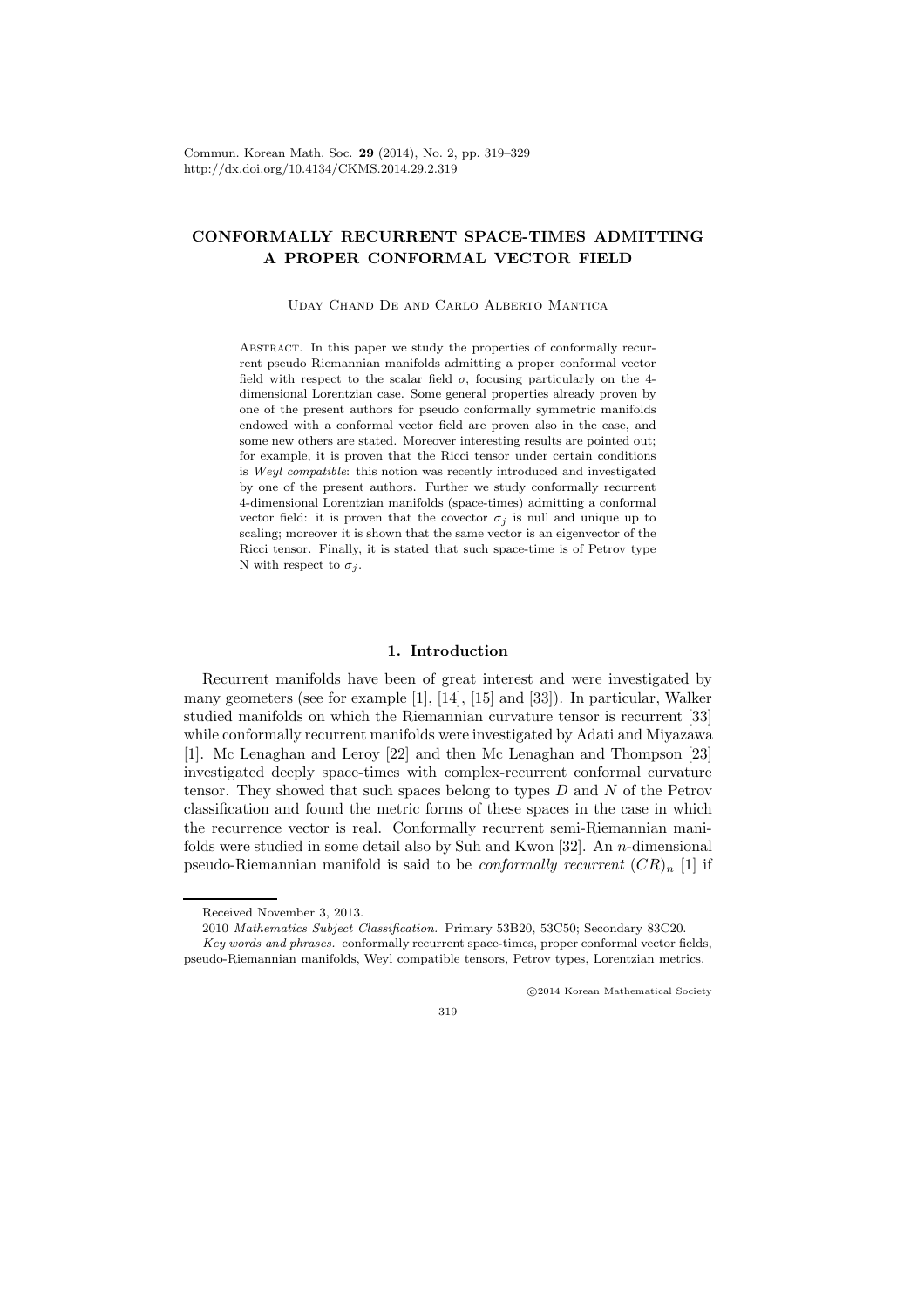Commun. Korean Math. Soc. 29 (2014), No. 2, pp. 319–329 http://dx.doi.org/10.4134/CKMS.2014.29.2.319

# CONFORMALLY RECURRENT SPACE-TIMES ADMITTING A PROPER CONFORMAL VECTOR FIELD

Uday Chand De and Carlo Alberto Mantica

ABSTRACT. In this paper we study the properties of conformally recurrent pseudo Riemannian manifolds admitting a proper conformal vector field with respect to the scalar field  $\sigma$ , focusing particularly on the 4dimensional Lorentzian case. Some general properties already proven by one of the present authors for pseudo conformally symmetric manifolds endowed with a conformal vector field are proven also in the case, and some new others are stated. Moreover interesting results are pointed out; for example, it is proven that the Ricci tensor under certain conditions is Weyl compatible: this notion was recently introduced and investigated by one of the present authors. Further we study conformally recurrent 4-dimensional Lorentzian manifolds (space-times) admitting a conformal vector field: it is proven that the covector  $\sigma_i$  is null and unique up to scaling; moreover it is shown that the same vector is an eigenvector of the Ricci tensor. Finally, it is stated that such space-time is of Petrov type N with respect to  $\sigma_i$ .

### 1. Introduction

Recurrent manifolds have been of great interest and were investigated by many geometers (see for example [1], [14], [15] and [33]). In particular, Walker studied manifolds on which the Riemannian curvature tensor is recurrent [33] while conformally recurrent manifolds were investigated by Adati and Miyazawa [1]. Mc Lenaghan and Leroy [22] and then Mc Lenaghan and Thompson [23] investigated deeply space-times with complex-recurrent conformal curvature tensor. They showed that such spaces belong to types  $D$  and  $N$  of the Petrov classification and found the metric forms of these spaces in the case in which the recurrence vector is real. Conformally recurrent semi-Riemannian manifolds were studied in some detail also by Suh and Kwon  $[32]$ . An *n*-dimensional pseudo-Riemannian manifold is said to be *conformally recurrent*  $(CR)_n$  [1] if

c 2014 Korean Mathematical Society

Received November 3, 2013.

<sup>2010</sup> Mathematics Subject Classification. Primary 53B20, 53C50; Secondary 83C20.

Key words and phrases. conformally recurrent space-times, proper conformal vector fields, pseudo-Riemannian manifolds, Weyl compatible tensors, Petrov types, Lorentzian metrics.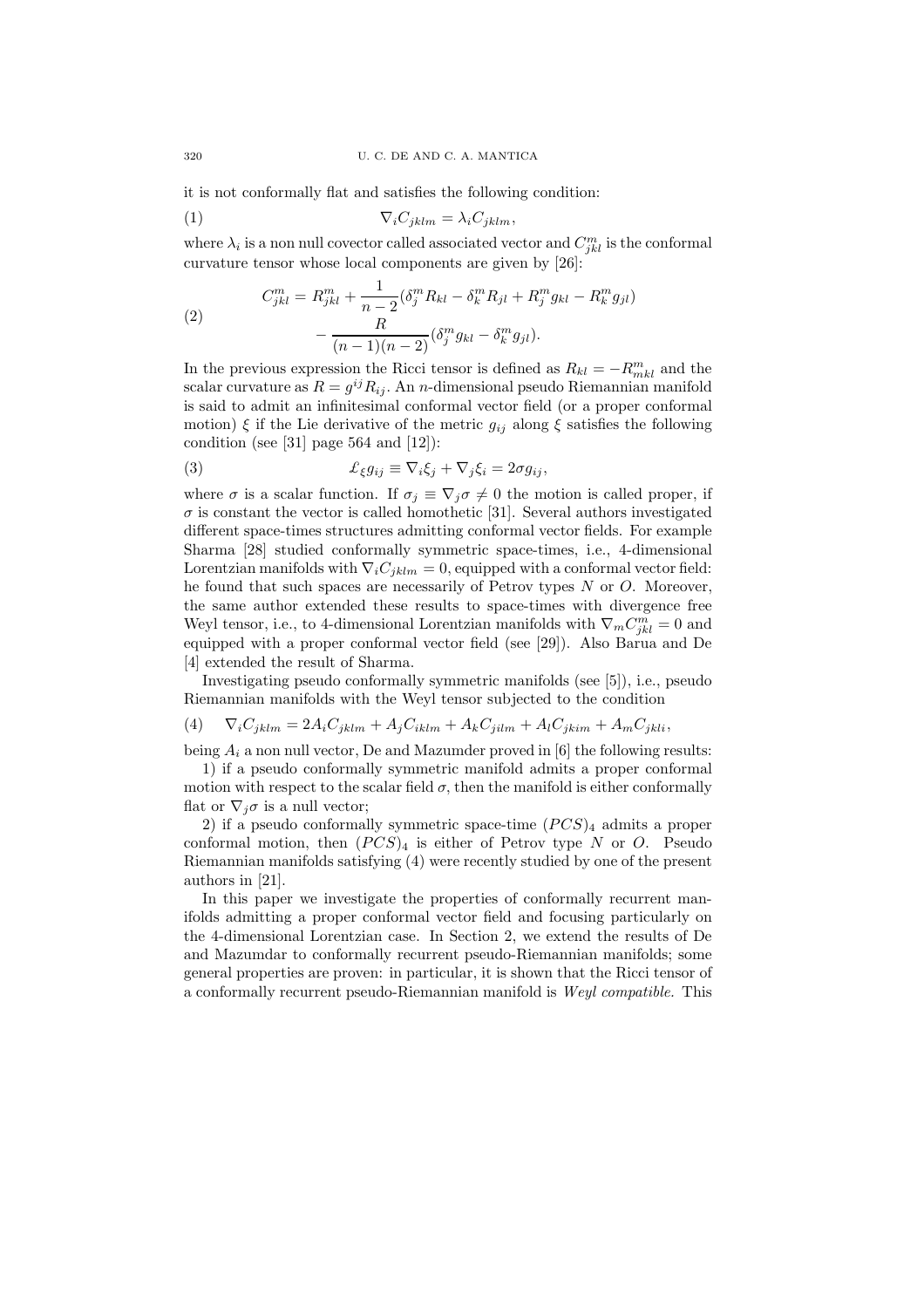it is not conformally flat and satisfies the following condition:

$$
\nabla_i C_{jklm} = \lambda_i C_{jklm},
$$

where  $\lambda_i$  is a non null covector called associated vector and  $C_{jkl}^m$  is the conformal curvature tensor whose local components are given by [26]:

(2)  
\n
$$
C_{jkl}^{m} = R_{jkl}^{m} + \frac{1}{n-2} (\delta_j^{m} R_{kl} - \delta_k^{m} R_{jl} + R_j^{m} g_{kl} - R_k^{m} g_{jl}) - \frac{R}{(n-1)(n-2)} (\delta_j^{m} g_{kl} - \delta_k^{m} g_{jl}).
$$

In the previous expression the Ricci tensor is defined as  $R_{kl} = -R_{mkl}^m$  and the scalar curvature as  $R = g^{ij} R_{ij}$ . An *n*-dimensional pseudo Riemannian manifold is said to admit an infinitesimal conformal vector field (or a proper conformal motion)  $\xi$  if the Lie derivative of the metric  $g_{ij}$  along  $\xi$  satisfies the following condition (see [31] page 564 and [12]):

(3) 
$$
\mathcal{L}_{\xi}g_{ij} \equiv \nabla_i\xi_j + \nabla_j\xi_i = 2\sigma g_{ij},
$$

where  $\sigma$  is a scalar function. If  $\sigma_j \equiv \nabla_j \sigma \neq 0$  the motion is called proper, if  $\sigma$  is constant the vector is called homothetic [31]. Several authors investigated different space-times structures admitting conformal vector fields. For example Sharma [28] studied conformally symmetric space-times, i.e., 4-dimensional Lorentzian manifolds with  $\nabla_i C_{jklm} = 0$ , equipped with a conformal vector field: he found that such spaces are necessarily of Petrov types  $N$  or  $O$ . Moreover, the same author extended these results to space-times with divergence free Weyl tensor, i.e., to 4-dimensional Lorentzian manifolds with  $\nabla_m C^m_{jkl} = 0$  and equipped with a proper conformal vector field (see [29]). Also Barua and De [4] extended the result of Sharma.

Investigating pseudo conformally symmetric manifolds (see [5]), i.e., pseudo Riemannian manifolds with the Weyl tensor subjected to the condition

$$
(4) \qquad \nabla_i C_{jklm} = 2A_i C_{jklm} + A_j C_{iklm} + A_k C_{jilm} + A_l C_{jkim} + A_m C_{jkli},
$$

being  $A_i$  a non null vector, De and Mazumder proved in [6] the following results:

1) if a pseudo conformally symmetric manifold admits a proper conformal motion with respect to the scalar field  $\sigma$ , then the manifold is either conformally flat or  $\nabla_i \sigma$  is a null vector;

2) if a pseudo conformally symmetric space-time  $(PCS)_{4}$  admits a proper conformal motion, then  $(PCS)_{4}$  is either of Petrov type N or O. Pseudo Riemannian manifolds satisfying (4) were recently studied by one of the present authors in [21].

In this paper we investigate the properties of conformally recurrent manifolds admitting a proper conformal vector field and focusing particularly on the 4-dimensional Lorentzian case. In Section 2, we extend the results of De and Mazumdar to conformally recurrent pseudo-Riemannian manifolds; some general properties are proven: in particular, it is shown that the Ricci tensor of a conformally recurrent pseudo-Riemannian manifold is Weyl compatible. This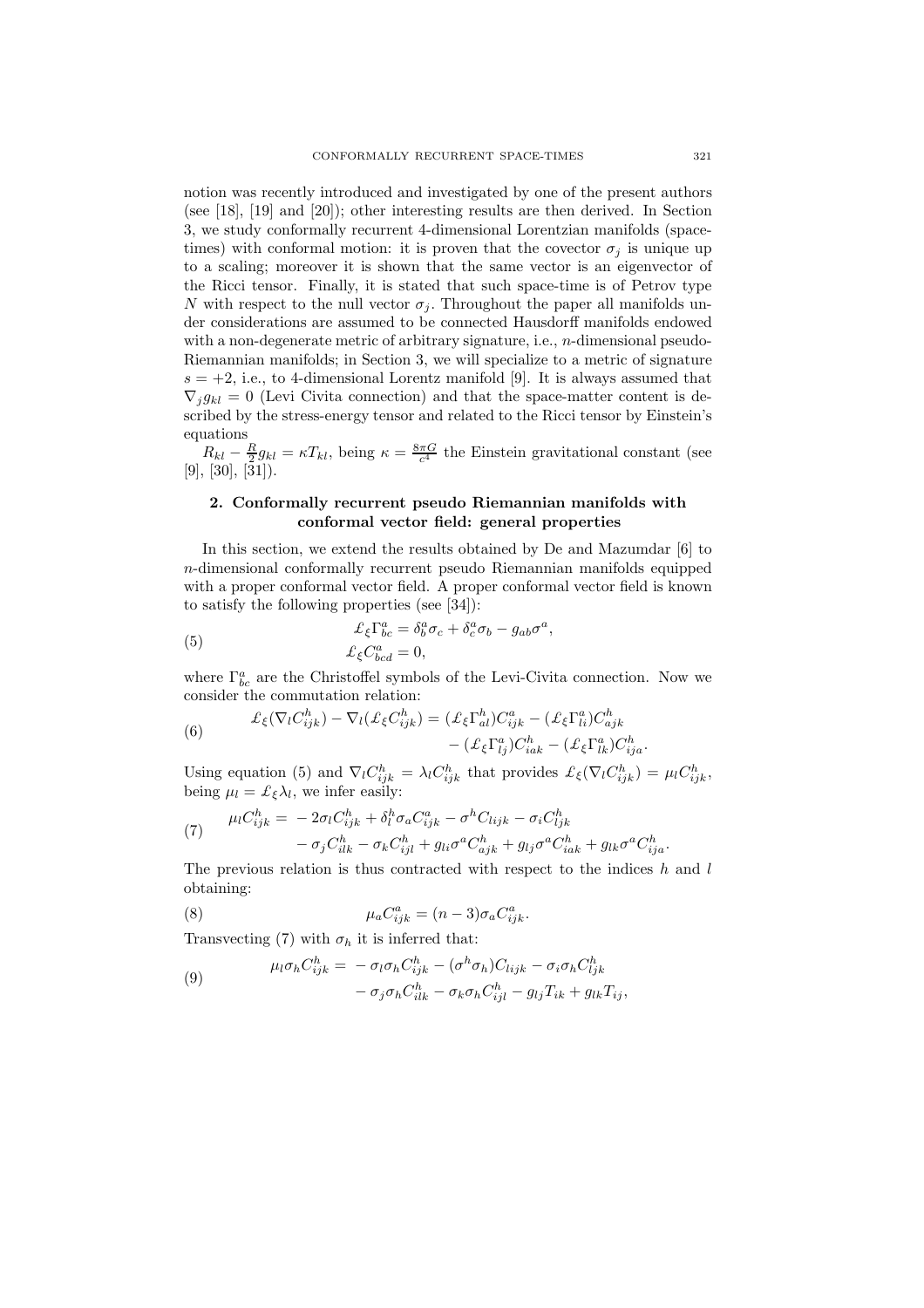notion was recently introduced and investigated by one of the present authors (see [18], [19] and [20]); other interesting results are then derived. In Section 3, we study conformally recurrent 4-dimensional Lorentzian manifolds (spacetimes) with conformal motion: it is proven that the covector  $\sigma_i$  is unique up to a scaling; moreover it is shown that the same vector is an eigenvector of the Ricci tensor. Finally, it is stated that such space-time is of Petrov type N with respect to the null vector  $\sigma_i$ . Throughout the paper all manifolds under considerations are assumed to be connected Hausdorff manifolds endowed with a non-degenerate metric of arbitrary signature, i.e., *n*-dimensional pseudo-Riemannian manifolds; in Section 3, we will specialize to a metric of signature  $s = +2$ , i.e., to 4-dimensional Lorentz manifold [9]. It is always assumed that  $\nabla_j g_{kl} = 0$  (Levi Civita connection) and that the space-matter content is described by the stress-energy tensor and related to the Ricci tensor by Einstein's equations

 $R_{kl} - \frac{R}{2}g_{kl} = \kappa T_{kl}$ , being  $\kappa = \frac{8\pi G}{c^4}$  the Einstein gravitational constant (see  $[9], [30], [\overline{3}1]).$ 

## 2. Conformally recurrent pseudo Riemannian manifolds with conformal vector field: general properties

In this section, we extend the results obtained by De and Mazumdar [6] to n-dimensional conformally recurrent pseudo Riemannian manifolds equipped with a proper conformal vector field. A proper conformal vector field is known to satisfy the following properties (see [34]):

(5) 
$$
\mathcal{L}_{\xi} \Gamma^{a}_{bc} = \delta^{a}_{b} \sigma_{c} + \delta^{a}_{c} \sigma_{b} - g_{ab} \sigma^{a}, \n\mathcal{L}_{\xi} C^{a}_{bcd} = 0,
$$

where  $\Gamma^a_{bc}$  are the Christoffel symbols of the Levi-Civita connection. Now we consider the commutation relation:

(6) 
$$
\mathcal{L}_{\xi}(\nabla_l C_{ijk}^h) - \nabla_l(\mathcal{L}_{\xi} C_{ijk}^h) = (\mathcal{L}_{\xi} \Gamma_{al}^h) C_{ijk}^a - (\mathcal{L}_{\xi} \Gamma_{li}^a) C_{ajk}^h - (\mathcal{L}_{\xi} \Gamma_{lk}^a) C_{ija}^h.
$$

Using equation (5) and  $\nabla_l C_{ijk}^h = \lambda_l C_{ijk}^h$  that provides  $\mathcal{L}_{\xi}(\nabla_l C_{ijk}^h) = \mu_l C_{ijk}^h$ , being  $\mu_l = \mathcal{L}_{\xi} \lambda_l$ , we infer easily:

$$
(7) \qquad \mu_l C_{ijk}^h = -2\sigma_l C_{ijk}^h + \delta_l^h \sigma_a C_{ijk}^a - \sigma^h C_{lijk} - \sigma_i C_{ljk}^h - \sigma_j C_{ilk}^h - \sigma_k C_{ijl}^h + g_{li} \sigma^a C_{ajk}^h + g_{lj} \sigma^a C_{iak}^h + g_{lk} \sigma^a C_{ija}^h.
$$

The previous relation is thus contracted with respect to the indices  $h$  and  $l$ obtaining:

(8) 
$$
\mu_a C_{ijk}^a = (n-3)\sigma_a C_{ijk}^a.
$$

Transvecting (7) with  $\sigma_h$  it is inferred that:

(9) 
$$
\mu_l \sigma_h C_{ijk}^h = -\sigma_l \sigma_h C_{ijk}^h - (\sigma^h \sigma_h) C_{lijk} - \sigma_i \sigma_h C_{ljk}^h
$$

$$
-\sigma_j \sigma_h C_{ilk}^h - \sigma_k \sigma_h C_{ijl}^h - g_{lj} T_{ik} + g_{lk} T_{ij},
$$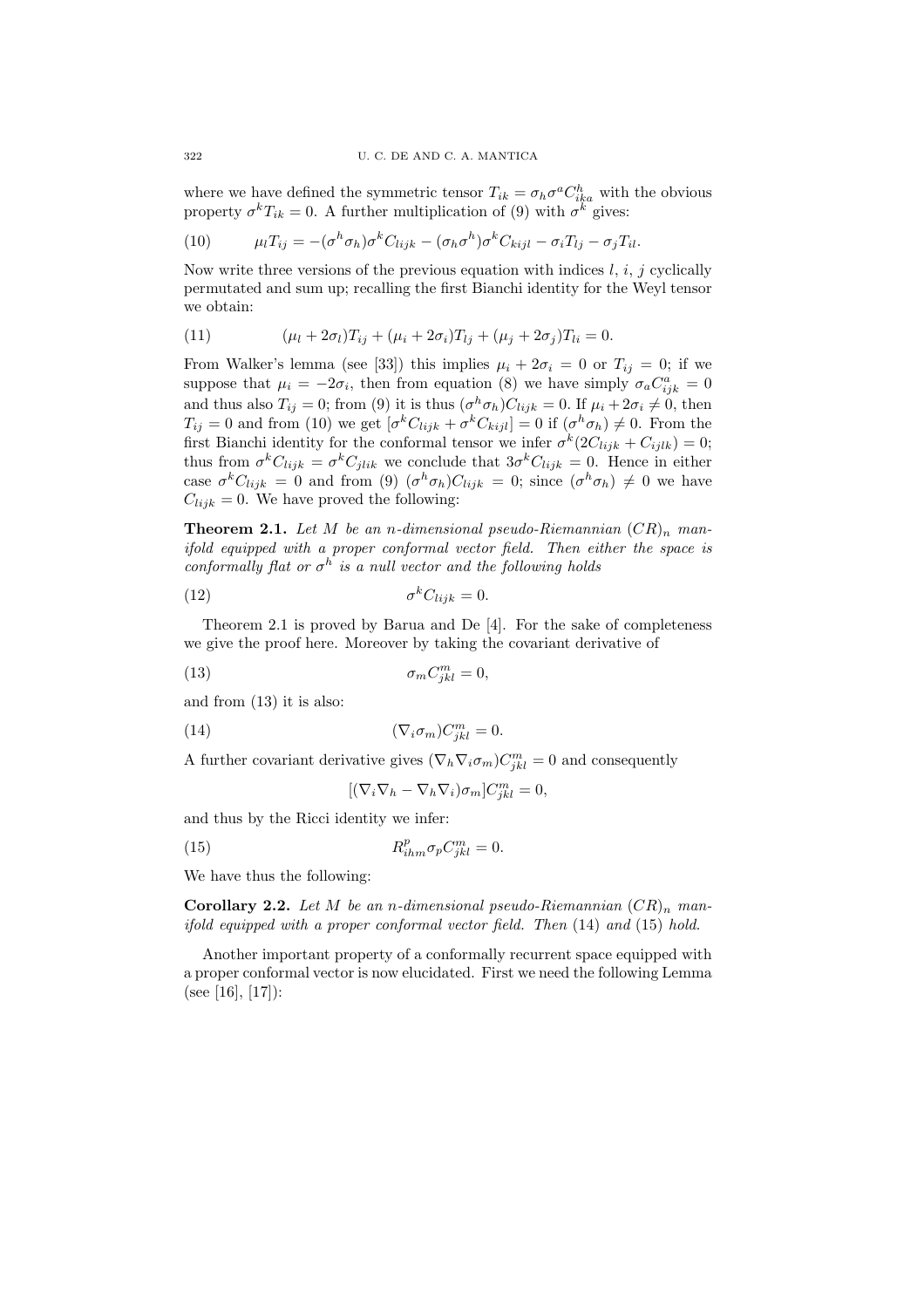where we have defined the symmetric tensor  $T_{ik} = \sigma_h \sigma^a C_{ika}^h$  with the obvious property  $\sigma^k T_{ik} = 0$ . A further multiplication of (9) with  $\sigma^k$  gives:

(10) 
$$
\mu_l T_{ij} = -(\sigma^h \sigma_h) \sigma^k C_{lijk} - (\sigma_h \sigma^h) \sigma^k C_{kijl} - \sigma_i T_{lj} - \sigma_j T_{il}.
$$

Now write three versions of the previous equation with indices l, i, j cyclically permutated and sum up; recalling the first Bianchi identity for the Weyl tensor we obtain:

(11) 
$$
(\mu_l + 2\sigma_l)T_{ij} + (\mu_i + 2\sigma_i)T_{lj} + (\mu_j + 2\sigma_j)T_{li} = 0.
$$

From Walker's lemma (see [33]) this implies  $\mu_i + 2\sigma_i = 0$  or  $T_{ij} = 0$ ; if we suppose that  $\mu_i = -2\sigma_i$ , then from equation (8) we have simply  $\sigma_a C_{ijk}^a = 0$ and thus also  $T_{ij} = 0$ ; from (9) it is thus  $(\sigma^h \sigma_h) C_{lijk} = 0$ . If  $\mu_i + 2\sigma_i \neq 0$ , then  $T_{ij} = 0$  and from (10) we get  $[\sigma^k C_{lijk} + \sigma^k C_{kijl}] = 0$  if  $(\sigma^h \sigma_h) \neq 0$ . From the first Bianchi identity for the conformal tensor we infer  $\sigma^k(2C_{lijk} + C_{ijlk}) = 0;$ thus from  $\sigma^k C_{lijk} = \sigma^k C_{jlik}$  we conclude that  $3\sigma^k C_{lijk} = 0$ . Hence in either case  $\sigma^k C_{lijk} = 0$  and from (9)  $(\sigma^h \sigma_h) C_{lijk} = 0$ ; since  $(\sigma^h \sigma_h) \neq 0$  we have  $C_{lijk} = 0$ . We have proved the following:

**Theorem 2.1.** Let M be an n-dimensional pseudo-Riemannian  $(CR)_n$  manifold equipped with a proper conformal vector field. Then either the space is conformally flat or  $\sigma^h$  is a null vector and the following holds

$$
\sigma^k C_{lijk} = 0.
$$

Theorem 2.1 is proved by Barua and De [4]. For the sake of completeness we give the proof here. Moreover by taking the covariant derivative of

$$
\sigma_m C_{jkl}^m = 0,
$$

and from (13) it is also:

(14) 
$$
(\nabla_i \sigma_m) C^m_{jkl} = 0.
$$

A further covariant derivative gives  $(\nabla_h \nabla_i \sigma_m) C^m_{jkl} = 0$  and consequently

$$
[(\nabla_i \nabla_h - \nabla_h \nabla_i)\sigma_m]C_{jkl}^m = 0,
$$

and thus by the Ricci identity we infer:

(15) 
$$
R_{ihm}^p \sigma_p C_{jkl}^m = 0.
$$

We have thus the following:

**Corollary 2.2.** Let M be an n-dimensional pseudo-Riemannian  $CR)_n$  manifold equipped with a proper conformal vector field. Then (14) and (15) hold.

Another important property of a conformally recurrent space equipped with a proper conformal vector is now elucidated. First we need the following Lemma (see [16], [17]):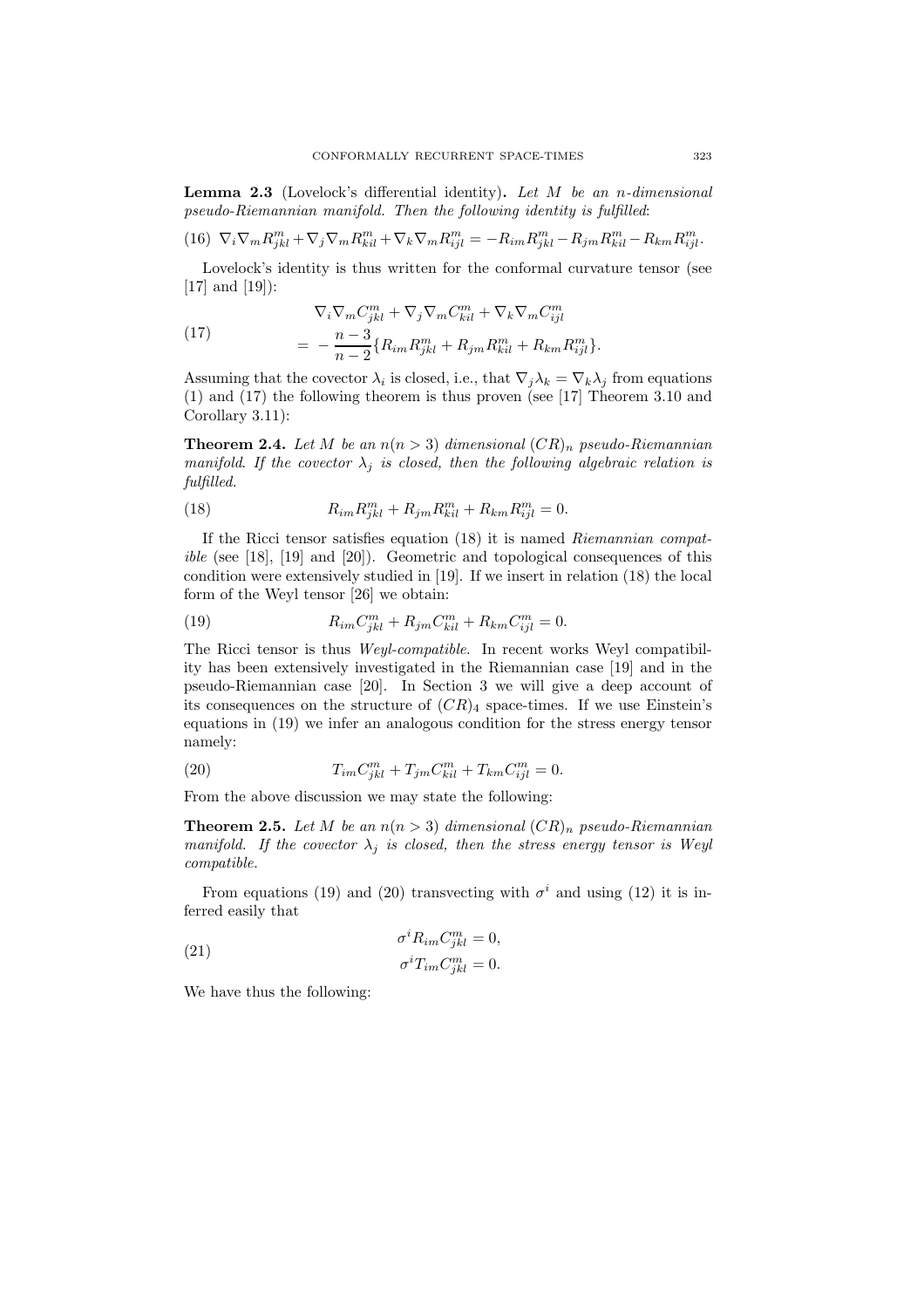**Lemma 2.3** (Lovelock's differential identity). Let  $M$  be an n-dimensional pseudo-Riemannian manifold. Then the following identity is fulfilled:

$$
(16)\ \ \nabla_i\nabla_mR_{jkl}^m+\nabla_j\nabla_mR_{kil}^m+\nabla_k\nabla_mR_{ijl}^m=-R_{im}R_{jkl}^m-R_{jm}R_{kil}^m-R_{km}R_{ijl}^m.
$$

Lovelock's identity is thus written for the conformal curvature tensor (see [17] and [19]):

(17) 
$$
\nabla_i \nabla_m C^m_{jkl} + \nabla_j \nabla_m C^m_{kil} + \nabla_k \nabla_m C^m_{ijl} = -\frac{n-3}{n-2} \{ R_{im} R^m_{jkl} + R_{jm} R^m_{kil} + R_{km} R^m_{ijl} \}.
$$

Assuming that the covector  $\lambda_i$  is closed, i.e., that  $\nabla_j \lambda_k = \nabla_k \lambda_j$  from equations (1) and (17) the following theorem is thus proven (see [17] Theorem 3.10 and Corollary 3.11):

**Theorem 2.4.** Let M be an  $n(n > 3)$  dimensional  $(CR)_n$  pseudo-Riemannian manifold. If the covector  $\lambda_i$  is closed, then the following algebraic relation is fulfilled.

(18) 
$$
R_{im}R_{jkl}^m + R_{jm}R_{kil}^m + R_{km}R_{ijl}^m = 0.
$$

If the Ricci tensor satisfies equation (18) it is named Riemannian compatible (see [18], [19] and [20]). Geometric and topological consequences of this condition were extensively studied in [19]. If we insert in relation (18) the local form of the Weyl tensor [26] we obtain:

(19) 
$$
R_{im}C_{jkl}^{m} + R_{jm}C_{kil}^{m} + R_{km}C_{ijl}^{m} = 0.
$$

The Ricci tensor is thus Weyl-compatible. In recent works Weyl compatibility has been extensively investigated in the Riemannian case [19] and in the pseudo-Riemannian case [20]. In Section 3 we will give a deep account of its consequences on the structure of  $(CR)_4$  space-times. If we use Einstein's equations in (19) we infer an analogous condition for the stress energy tensor namely:

(20) 
$$
T_{im}C_{jkl}^{m} + T_{jm}C_{kil}^{m} + T_{km}C_{ijl}^{m} = 0.
$$

From the above discussion we may state the following:

**Theorem 2.5.** Let M be an  $n(n > 3)$  dimensional  $CR$ <sub>n</sub> pseudo-Riemannian manifold. If the covector  $\lambda_i$  is closed, then the stress energy tensor is Weyl compatible.

From equations (19) and (20) transvecting with  $\sigma^i$  and using (12) it is inferred easily that

(21) 
$$
\sigma^i R_{im} C_{jkl}^m = 0,
$$

$$
\sigma^i T_{im} C_{jkl}^m = 0.
$$

We have thus the following: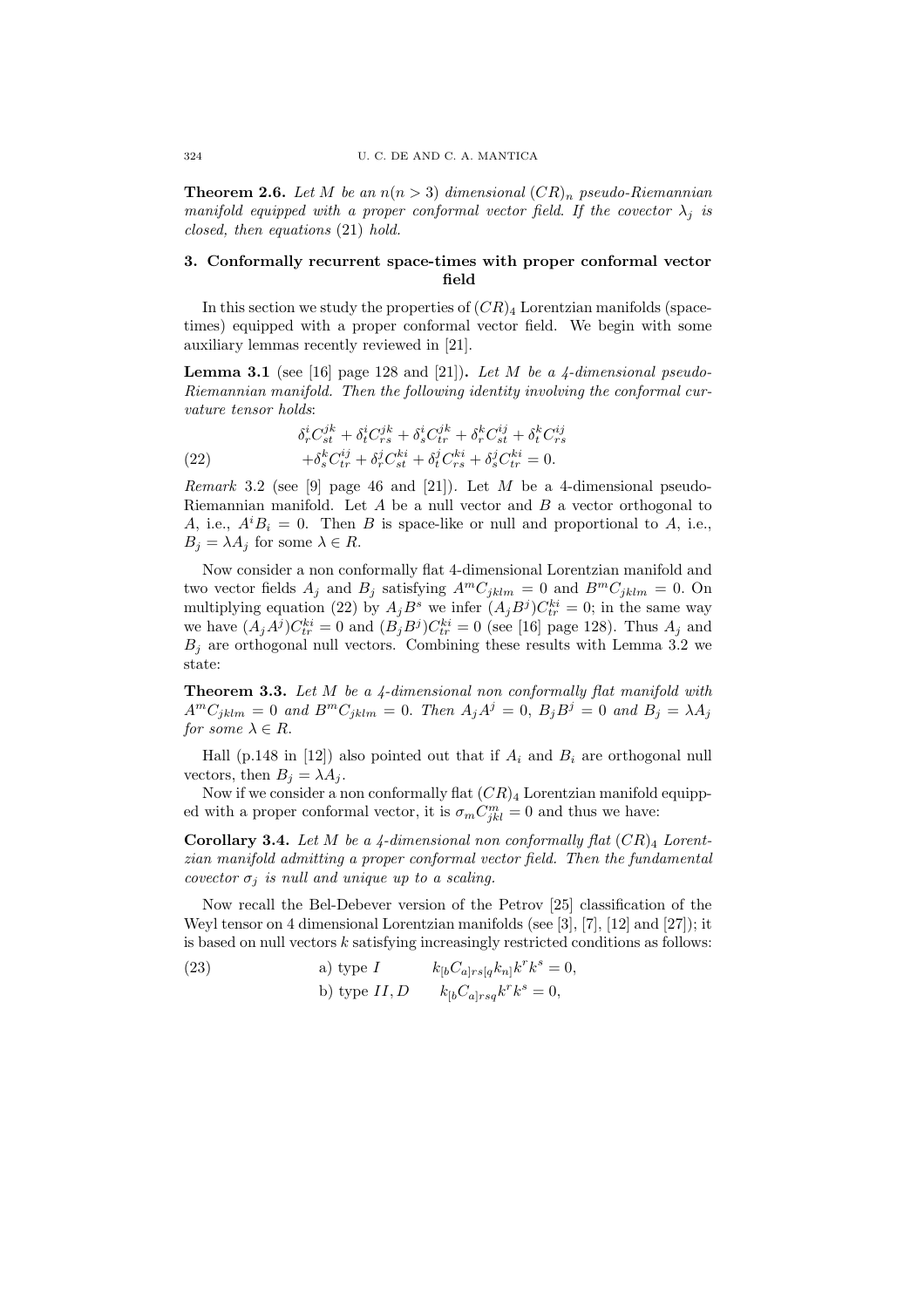**Theorem 2.6.** Let M be an  $n(n > 3)$  dimensional  $(CR)_n$  pseudo-Riemannian manifold equipped with a proper conformal vector field. If the covector  $\lambda_i$  is closed, then equations (21) hold.

### 3. Conformally recurrent space-times with proper conformal vector field

In this section we study the properties of  $(CR)_4$  Lorentzian manifolds (spacetimes) equipped with a proper conformal vector field. We begin with some auxiliary lemmas recently reviewed in [21].

**Lemma 3.1** (see [16] page 128 and [21]). Let M be a 4-dimensional pseudo-Riemannian manifold. Then the following identity involving the conformal curvature tensor holds:

(22) 
$$
\delta^i_r C^{jk}_{st} + \delta^i_t C^{jk}_{rs} + \delta^i_s C^{jk}_{tr} + \delta^k_r C^{ij}_{st} + \delta^k_t C^{ij}_{rs}
$$

$$
+ \delta^k_s C^{ij}_{tr} + \delta^j_r C^{ki}_{st} + \delta^j_t C^{ki}_{rs} + \delta^j_s C^{ki}_{tr} = 0.
$$

Remark 3.2 (see [9] page 46 and [21]). Let  $M$  be a 4-dimensional pseudo-Riemannian manifold. Let  $A$  be a null vector and  $B$  a vector orthogonal to A, i.e.,  $A^i B_i = 0$ . Then B is space-like or null and proportional to A, i.e.,  $B_i = \lambda A_i$  for some  $\lambda \in R$ .

Now consider a non conformally flat 4-dimensional Lorentzian manifold and two vector fields  $A_j$  and  $B_j$  satisfying  $A^mC_{jklm} = 0$  and  $B^mC_{jklm} = 0$ . On multiplying equation (22) by  $A_j B^s$  we infer  $(A_j B^j) C_{tr}^{ki} = 0$ ; in the same way we have  $(A_j A^j) C_{tr}^{ki} = 0$  and  $(B_j B^j) C_{tr}^{ki} = 0$  (see [16] page 128). Thus  $A_j$  and  $B_i$  are orthogonal null vectors. Combining these results with Lemma 3.2 we state:

Theorem 3.3. Let M be a 4-dimensional non conformally flat manifold with  $A^mC_{jklm} = 0$  and  $B^mC_{jklm} = 0$ . Then  $A_jA^j = 0$ ,  $B_jB^j = 0$  and  $B_j = \lambda A_j$ for some  $\lambda \in R$ .

Hall (p.148 in [12]) also pointed out that if  $A_i$  and  $B_i$  are orthogonal null vectors, then  $B_i = \lambda A_i$ .

Now if we consider a non conformally flat  $(CR)_4$  Lorentzian manifold equipped with a proper conformal vector, it is  $\sigma_m C_{jkl}^m = 0$  and thus we have:

**Corollary 3.4.** Let M be a 4-dimensional non conformally flat  $(CR)_4$  Lorentzian manifold admitting a proper conformal vector field. Then the fundamental covector  $\sigma_j$  is null and unique up to a scaling.

Now recall the Bel-Debever version of the Petrov [25] classification of the Weyl tensor on 4 dimensional Lorentzian manifolds (see [3], [7], [12] and [27]); it is based on null vectors  $k$  satisfying increasingly restricted conditions as follows:

(23) a) type 
$$
I \t k_{[b}C_{a]rsq}k_{n]}k^{r}k^{s} = 0,
$$
  
b) type 
$$
II, D \t k_{[b}C_{a]rsq}k^{r}k^{s} = 0,
$$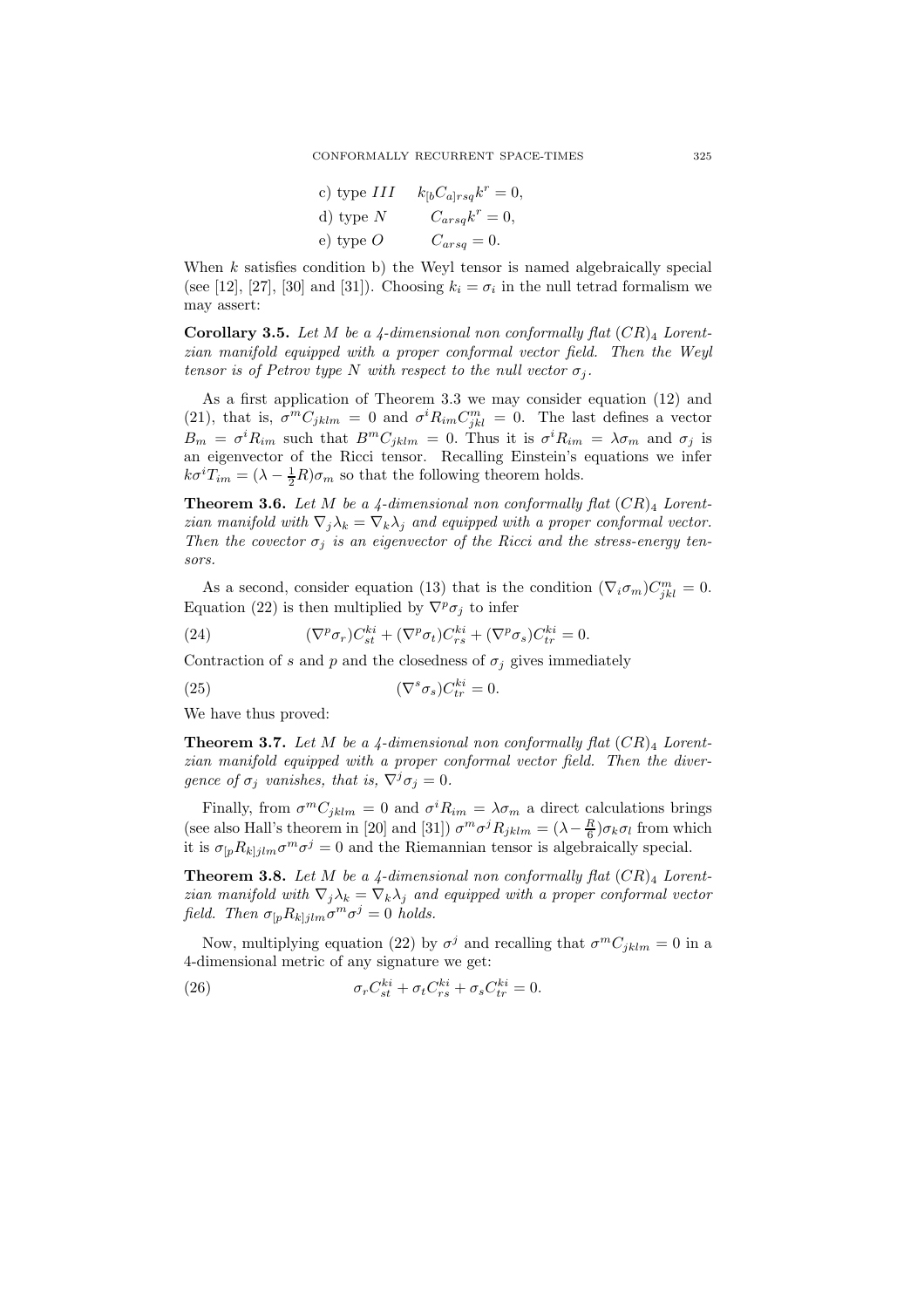| c) type $III$ | $k_{\left[b}C_{a\right]rsq}k^{r}=0,$ |
|---------------|--------------------------------------|
| d) type $N$   | $C_{arsq}k^r = 0,$                   |
| e) type $O$   | $C_{arsq} = 0.$                      |

When  $k$  satisfies condition b) the Weyl tensor is named algebraically special (see [12], [27], [30] and [31]). Choosing  $k_i = \sigma_i$  in the null tetrad formalism we may assert:

**Corollary 3.5.** Let M be a 4-dimensional non conformally flat  $(CR)_4$  Lorentzian manifold equipped with a proper conformal vector field. Then the Weyl tensor is of Petrov type N with respect to the null vector  $\sigma_i$ .

As a first application of Theorem 3.3 we may consider equation (12) and (21), that is,  $\sigma^m C_{jklm} = 0$  and  $\sigma^i R_{im} C_{jkl}^m = 0$ . The last defines a vector  $B_m = \sigma^i R_{im}$  such that  $B^m C_{jklm} = 0$ . Thus it is  $\sigma^i R_{im} = \lambda \sigma_m$  and  $\sigma_j$  is an eigenvector of the Ricci tensor. Recalling Einstein's equations we infer  $k\sigma^{i}T_{im} = (\lambda - \frac{1}{2}R)\sigma_{m}$  so that the following theorem holds.

**Theorem 3.6.** Let M be a 4-dimensional non conformally flat  $(CR)_4$  Lorentzian manifold with  $\nabla_j \lambda_k = \nabla_k \lambda_j$  and equipped with a proper conformal vector. Then the covector  $\sigma_j$  is an eigenvector of the Ricci and the stress-energy tensors.

As a second, consider equation (13) that is the condition  $(\nabla_i \sigma_m)C_{jkl}^m = 0$ . Equation (22) is then multiplied by  $\nabla^p \sigma_i$  to infer

(24) 
$$
(\nabla^p \sigma_r) C_{st}^{ki} + (\nabla^p \sigma_t) C_{rs}^{ki} + (\nabla^p \sigma_s) C_{tr}^{ki} = 0.
$$

Contraction of s and p and the closedness of  $\sigma_i$  gives immediately

(25) 
$$
(\nabla^s \sigma_s) C_{tr}^{ki} = 0.
$$

We have thus proved:

**Theorem 3.7.** Let M be a 4-dimensional non conformally flat  $(CR)_4$  Lorentzian manifold equipped with a proper conformal vector field. Then the divergence of  $\sigma_i$  vanishes, that is,  $\nabla^j \sigma_j = 0$ .

Finally, from  $\sigma^m C_{jklm} = 0$  and  $\sigma^i R_{im} = \lambda \sigma_m$  a direct calculations brings (see also Hall's theorem in [20] and [31])  $\sigma^m \sigma^j R_{jklm} = (\lambda - \frac{R}{6}) \sigma_k \sigma_l$  from which it is  $\sigma_{[p}R_{kjjlm}\sigma^m\sigma^j=0$  and the Riemannian tensor is algebraically special.

**Theorem 3.8.** Let M be a 4-dimensional non conformally flat  $(CR)_4$  Lorentzian manifold with  $\nabla_j \lambda_k = \nabla_k \lambda_j$  and equipped with a proper conformal vector field. Then  $\sigma_{[p}R_{k]jlm}\sigma^m\sigma^j=0$  holds.

Now, multiplying equation (22) by  $\sigma^j$  and recalling that  $\sigma^m C_{jklm} = 0$  in a 4-dimensional metric of any signature we get:

(26) 
$$
\sigma_r C_{st}^{ki} + \sigma_t C_{rs}^{ki} + \sigma_s C_{tr}^{ki} = 0.
$$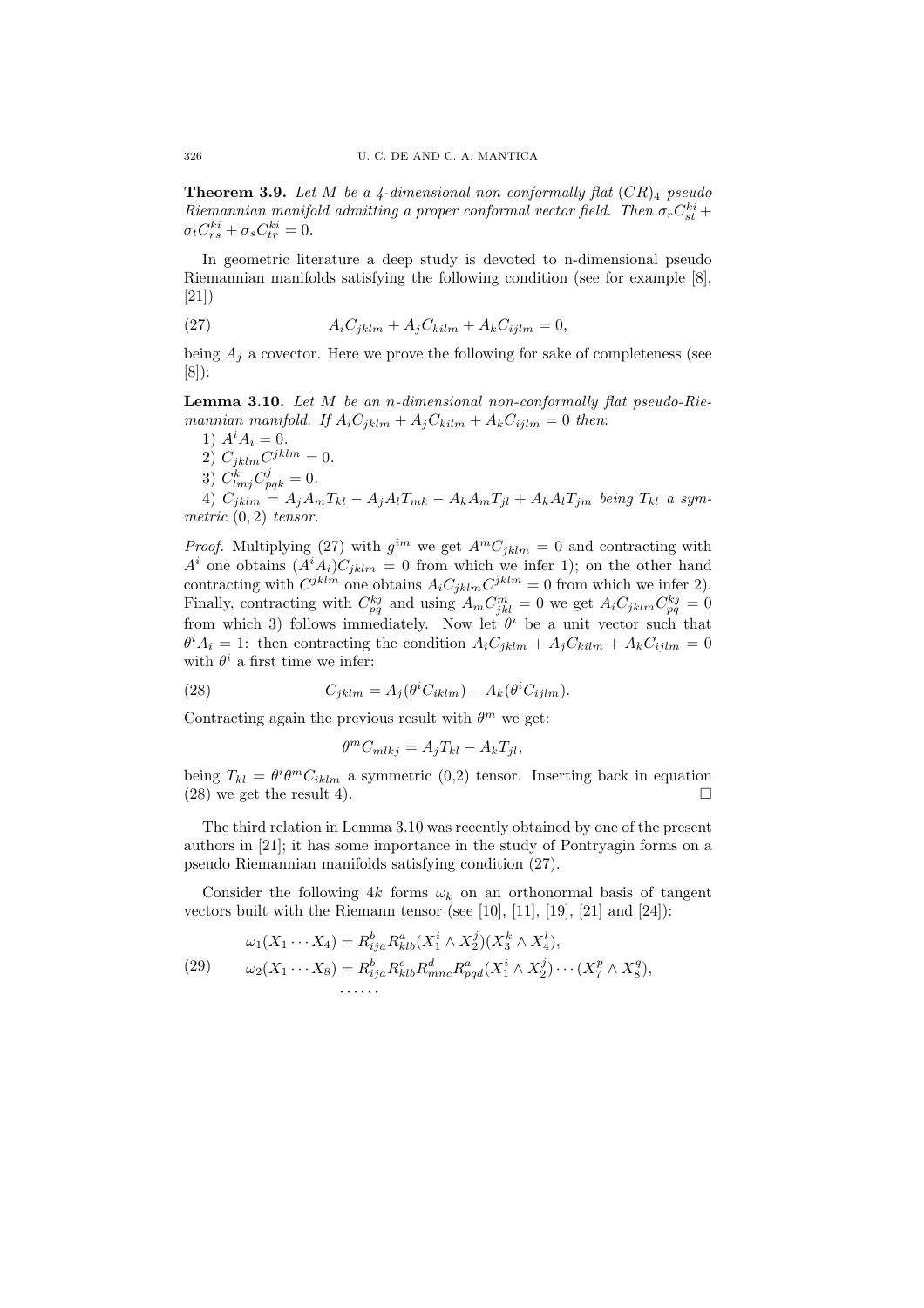**Theorem 3.9.** Let M be a 4-dimensional non conformally flat  $(CR)_4$  pseudo Riemannian manifold admitting a proper conformal vector field. Then  $\sigma_r C_{st}^{ki}$  +  $\sigma_t C_{rs}^{ki} + \sigma_s C_{tr}^{ki} = 0.$ 

In geometric literature a deep study is devoted to n-dimensional pseudo Riemannian manifolds satisfying the following condition (see for example [8], [21])

(27) 
$$
A_i C_{jklm} + A_j C_{kilm} + A_k C_{ijlm} = 0,
$$

being  $A_j$  a covector. Here we prove the following for sake of completeness (see [8]):

**Lemma 3.10.** Let  $M$  be an *n*-dimensional non-conformally flat pseudo-Riemannian manifold. If  $A_iC_{jklm} + A_jC_{kilm} + A_kC_{ijlm} = 0$  then:

1)  $A^i A_i = 0$ . 2)  $C_{jklm}C^{jklm} = 0.$ 3)  $C_{lmj}^{k}C_{pqk}^{j}=0.$  $^{(1)}$  C<sub>jklm</sub> = A<sub>j</sub>A<sub>m</sub>T<sub>kl</sub> - A<sub>j</sub>A<sub>l</sub>T<sub>mk</sub> - A<sub>k</sub>A<sub>m</sub>T<sub>jl</sub> + A<sub>k</sub>A<sub>l</sub>T<sub>jm</sub> being T<sub>kl</sub> a sym-

metric  $(0, 2)$  tensor.

*Proof.* Multiplying (27) with  $g^{im}$  we get  $A^mC_{jklm} = 0$  and contracting with  $A^i$  one obtains  $(A^i A_i)C_{jklm} = 0$  from which we infer 1); on the other hand contracting with  $C^{jklm}$  one obtains  $A_i C_{jklm} C^{jklm} = 0$  from which we infer 2). Finally, contracting with  $C_{pq}^{kj}$  and using  $A_m C_{jkl}^m = 0$  we get  $A_i C_{jklm} C_{pq}^{kj} = 0$ from which 3) follows immediately. Now let  $\theta^i$  be a unit vector such that  $\theta^i A_i = 1$ : then contracting the condition  $A_i C_{jklm} + A_j C_{kilm} + A_k C_{ijlm} = 0$ with  $\theta^i$  a first time we infer:

(28) 
$$
C_{jklm} = A_j(\theta^i C_{iklm}) - A_k(\theta^i C_{ijlm}).
$$

Contracting again the previous result with  $\theta^m$  we get:

$$
\theta^m C_{mlkj} = A_j T_{kl} - A_k T_{jl},
$$

being  $T_{kl} = \theta^i \theta^m C_{iklm}$  a symmetric (0,2) tensor. Inserting back in equation  $(28)$  we get the result 4).

The third relation in Lemma 3.10 was recently obtained by one of the present authors in [21]; it has some importance in the study of Pontryagin forms on a pseudo Riemannian manifolds satisfying condition (27).

Consider the following 4k forms  $\omega_k$  on an orthonormal basis of tangent vectors built with the Riemann tensor (see [10], [11], [19], [21] and [24]):

(29) 
$$
\omega_1(X_1 \cdots X_4) = R_{ija}^b R_{klb}^a(X_1^i \wedge X_2^j)(X_3^k \wedge X_4^l), \n\omega_2(X_1 \cdots X_8) = R_{ija}^b R_{klb}^c R_{mnc}^d R_{pqd}^a(X_1^i \wedge X_2^j) \cdots (X_7^p \wedge X_8^q), \n\cdots \cdots
$$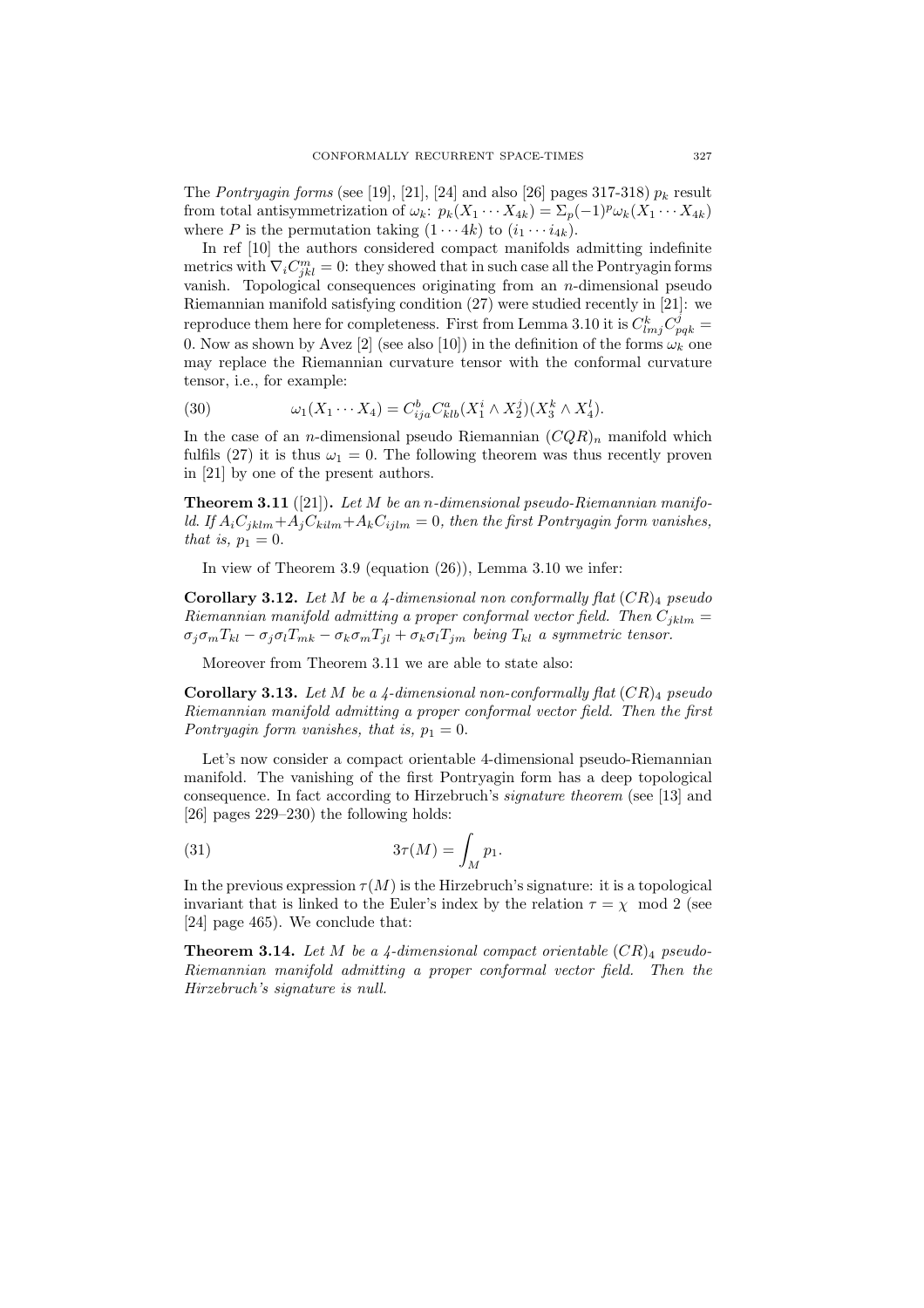The Pontryagin forms (see [19], [21], [24] and also [26] pages 317-318)  $p_k$  result from total antisymmetrization of  $\omega_k$ :  $p_k(X_1 \cdots X_{4k}) = \sum_p (-1)^p \omega_k(X_1 \cdots X_{4k})$ where P is the permutation taking  $(1 \cdots 4k)$  to  $(i_1 \cdots i_{4k})$ .

In ref [10] the authors considered compact manifolds admitting indefinite metrics with  $\nabla_i C^m_{jkl} = 0$ : they showed that in such case all the Pontryagin forms vanish. Topological consequences originating from an  $n$ -dimensional pseudo Riemannian manifold satisfying condition (27) were studied recently in [21]: we reproduce them here for completeness. First from Lemma 3.10 it is  $C_{lmj}^k C_{pqk}^j =$ 0. Now as shown by Avez [2] (see also [10]) in the definition of the forms  $\omega_k$  one may replace the Riemannian curvature tensor with the conformal curvature tensor, i.e., for example:

(30) 
$$
\omega_1(X_1 \cdots X_4) = C_{ija}^b C_{klb}^a (X_1^i \wedge X_2^j)(X_3^k \wedge X_4^l).
$$

In the case of an *n*-dimensional pseudo Riemannian  $(CQR)_n$  manifold which fulfils (27) it is thus  $\omega_1 = 0$ . The following theorem was thus recently proven in [21] by one of the present authors.

**Theorem 3.11** ([21]). Let  $M$  be an n-dimensional pseudo-Riemannian manifold. If  $A_iC_{jklm}+A_jC_{kilm}+A_kC_{ijlm} = 0$ , then the first Pontryagin form vanishes, that is,  $p_1 = 0$ .

In view of Theorem 3.9 (equation (26)), Lemma 3.10 we infer:

Corollary 3.12. Let M be a 4-dimensional non conformally flat  $(CR)_4$  pseudo Riemannian manifold admitting a proper conformal vector field. Then  $C_{iklm} =$  $\sigma_j \sigma_m T_{kl} - \sigma_j \sigma_l T_{mk} - \sigma_k \sigma_m T_{jl} + \sigma_k \sigma_l T_{jm}$  being  $T_{kl}$  a symmetric tensor.

Moreover from Theorem 3.11 we are able to state also:

**Corollary 3.13.** Let M be a 4-dimensional non-conformally flat  $(CR)$  pseudo Riemannian manifold admitting a proper conformal vector field. Then the first Pontryagin form vanishes, that is,  $p_1 = 0$ .

Let's now consider a compact orientable 4-dimensional pseudo-Riemannian manifold. The vanishing of the first Pontryagin form has a deep topological consequence. In fact according to Hirzebruch's signature theorem (see [13] and [26] pages 229–230) the following holds:

(31) 
$$
3\tau(M) = \int_M p_1.
$$

In the previous expression  $\tau(M)$  is the Hirzebruch's signature: it is a topological invariant that is linked to the Euler's index by the relation  $\tau = \chi \mod 2$  (see [24] page 465). We conclude that:

**Theorem 3.14.** Let M be a 4-dimensional compact orientable  $(CR)_4$  pseudo-Riemannian manifold admitting a proper conformal vector field. Then the Hirzebruch's signature is null.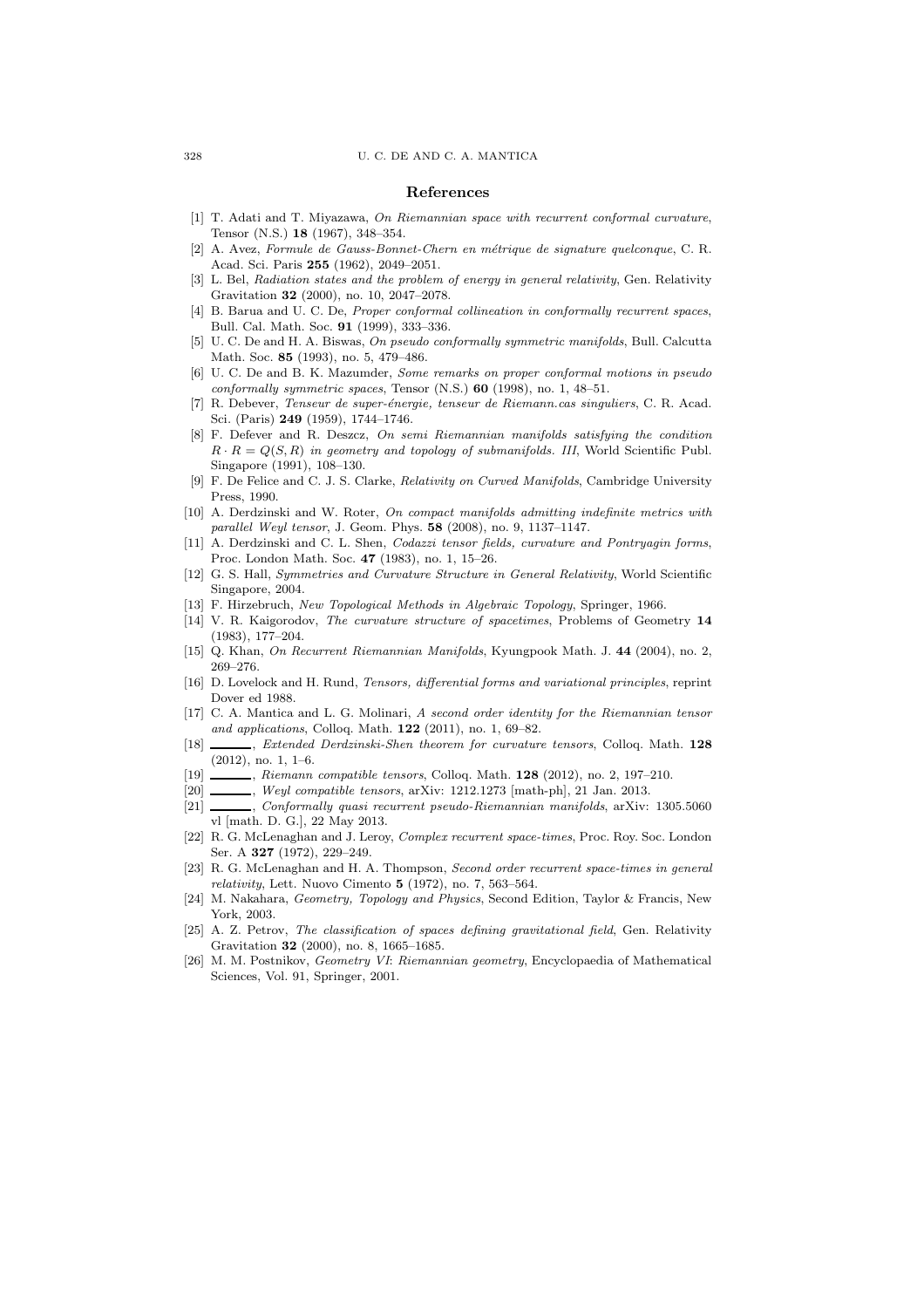#### References

- [1] T. Adati and T. Miyazawa, On Riemannian space with recurrent conformal curvature, Tensor (N.S.) 18 (1967), 348–354.
- [2] A. Avez, Formule de Gauss-Bonnet-Chern en m´etrique de signature quelconque, C. R. Acad. Sci. Paris 255 (1962), 2049–2051.
- [3] L. Bel, Radiation states and the problem of energy in general relativity, Gen. Relativity Gravitation 32 (2000), no. 10, 2047–2078.
- [4] B. Barua and U. C. De, Proper conformal collineation in conformally recurrent spaces, Bull. Cal. Math. Soc. 91 (1999), 333–336.
- [5] U. C. De and H. A. Biswas, On pseudo conformally symmetric manifolds, Bull. Calcutta Math. Soc. 85 (1993), no. 5, 479–486.
- [6] U. C. De and B. K. Mazumder, Some remarks on proper conformal motions in pseudo conformally symmetric spaces, Tensor  $(N.S.)$  60 (1998), no. 1, 48–51.
- [7] R. Debever, *Tenseur de super-énergie, tenseur de Riemann.cas singuliers*, C. R. Acad. Sci. (Paris) 249 (1959), 1744–1746.
- [8] F. Defever and R. Deszcz, On semi Riemannian manifolds satisfying the condition  $R \cdot R = Q(S, R)$  in geometry and topology of submanifolds. III, World Scientific Publ. Singapore (1991), 108–130.
- [9] F. De Felice and C. J. S. Clarke, Relativity on Curved Manifolds, Cambridge University Press, 1990.
- [10] A. Derdzinski and W. Roter, On compact manifolds admitting indefinite metrics with parallel Weyl tensor, J. Geom. Phys. 58 (2008), no. 9, 1137–1147.
- [11] A. Derdzinski and C. L. Shen, Codazzi tensor fields, curvature and Pontryagin forms, Proc. London Math. Soc. 47 (1983), no. 1, 15–26.
- [12] G. S. Hall, Symmetries and Curvature Structure in General Relativity, World Scientific Singapore, 2004.
- [13] F. Hirzebruch, New Topological Methods in Algebraic Topology, Springer, 1966.
- [14] V. R. Kaigorodov, The curvature structure of spacetimes, Problems of Geometry 14 (1983), 177–204.
- [15] Q. Khan, On Recurrent Riemannian Manifolds, Kyungpook Math. J. 44 (2004), no. 2, 269–276.
- [16] D. Lovelock and H. Rund, Tensors, differential forms and variational principles, reprint Dover ed 1988.
- [17] C. A. Mantica and L. G. Molinari, A second order identity for the Riemannian tensor and applications, Colloq. Math. 122 (2011), no. 1, 69–82.
- [18] , Extended Derdzinski-Shen theorem for curvature tensors, Colloq. Math. 128 (2012), no. 1, 1–6.
- [19] , Riemann compatible tensors, Colloq. Math. 128 (2012), no. 2, 197-210.
- [20] \_\_\_\_\_\_, Weyl compatible tensors, arXiv: 1212.1273 [math-ph], 21 Jan. 2013.
- [21] , Conformally quasi recurrent pseudo-Riemannian manifolds, arXiv: 1305.5060 vl [math. D. G.], 22 May 2013.
- [22] R. G. McLenaghan and J. Leroy, Complex recurrent space-times, Proc. Roy. Soc. London Ser. A 327 (1972), 229–249.
- [23] R. G. McLenaghan and H. A. Thompson, Second order recurrent space-times in general relativity, Lett. Nuovo Cimento  $5$  (1972), no. 7, 563–564.
- [24] M. Nakahara, Geometry, Topology and Physics, Second Edition, Taylor & Francis, New York, 2003.
- [25] A. Z. Petrov, The classification of spaces defining gravitational field, Gen. Relativity Gravitation 32 (2000), no. 8, 1665–1685.
- [26] M. M. Postnikov, Geometry VI: Riemannian geometry, Encyclopaedia of Mathematical Sciences, Vol. 91, Springer, 2001.